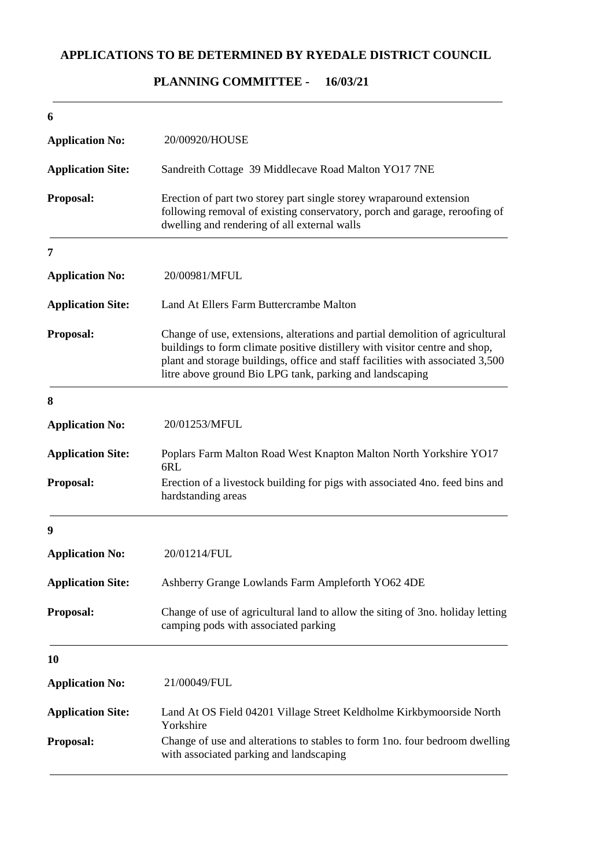# **APPLICATIONS TO BE DETERMINED BY RYEDALE DISTRICT COUNCIL**

### **16/03/21 PLANNING COMMITTEE -**

| 6                        |                                                                                                                                                                                                                                                                                                            |
|--------------------------|------------------------------------------------------------------------------------------------------------------------------------------------------------------------------------------------------------------------------------------------------------------------------------------------------------|
| <b>Application No:</b>   | 20/00920/HOUSE                                                                                                                                                                                                                                                                                             |
| <b>Application Site:</b> | Sandreith Cottage 39 Middlecave Road Malton YO17 7NE                                                                                                                                                                                                                                                       |
| Proposal:                | Erection of part two storey part single storey wraparound extension<br>following removal of existing conservatory, porch and garage, reroofing of<br>dwelling and rendering of all external walls                                                                                                          |
| 7                        |                                                                                                                                                                                                                                                                                                            |
| <b>Application No:</b>   | 20/00981/MFUL                                                                                                                                                                                                                                                                                              |
| <b>Application Site:</b> | Land At Ellers Farm Buttercrambe Malton                                                                                                                                                                                                                                                                    |
| Proposal:                | Change of use, extensions, alterations and partial demolition of agricultural<br>buildings to form climate positive distillery with visitor centre and shop,<br>plant and storage buildings, office and staff facilities with associated 3,500<br>litre above ground Bio LPG tank, parking and landscaping |
| 8                        |                                                                                                                                                                                                                                                                                                            |
| <b>Application No:</b>   | 20/01253/MFUL                                                                                                                                                                                                                                                                                              |
| <b>Application Site:</b> | Poplars Farm Malton Road West Knapton Malton North Yorkshire YO17<br>6RL                                                                                                                                                                                                                                   |
| Proposal:                | Erection of a livestock building for pigs with associated 4no. feed bins and<br>hardstanding areas                                                                                                                                                                                                         |
| 9                        |                                                                                                                                                                                                                                                                                                            |
| <b>Application No:</b>   | 20/01214/FUL                                                                                                                                                                                                                                                                                               |
| <b>Application Site:</b> | Ashberry Grange Lowlands Farm Ampleforth YO62 4DE                                                                                                                                                                                                                                                          |
| Proposal:                | Change of use of agricultural land to allow the siting of 3no. holiday letting<br>camping pods with associated parking                                                                                                                                                                                     |
| 10                       |                                                                                                                                                                                                                                                                                                            |
| <b>Application No:</b>   | 21/00049/FUL                                                                                                                                                                                                                                                                                               |
| <b>Application Site:</b> | Land At OS Field 04201 Village Street Keldholme Kirkbymoorside North<br>Yorkshire                                                                                                                                                                                                                          |
| Proposal:                | Change of use and alterations to stables to form 1no. four bedroom dwelling<br>with associated parking and landscaping                                                                                                                                                                                     |